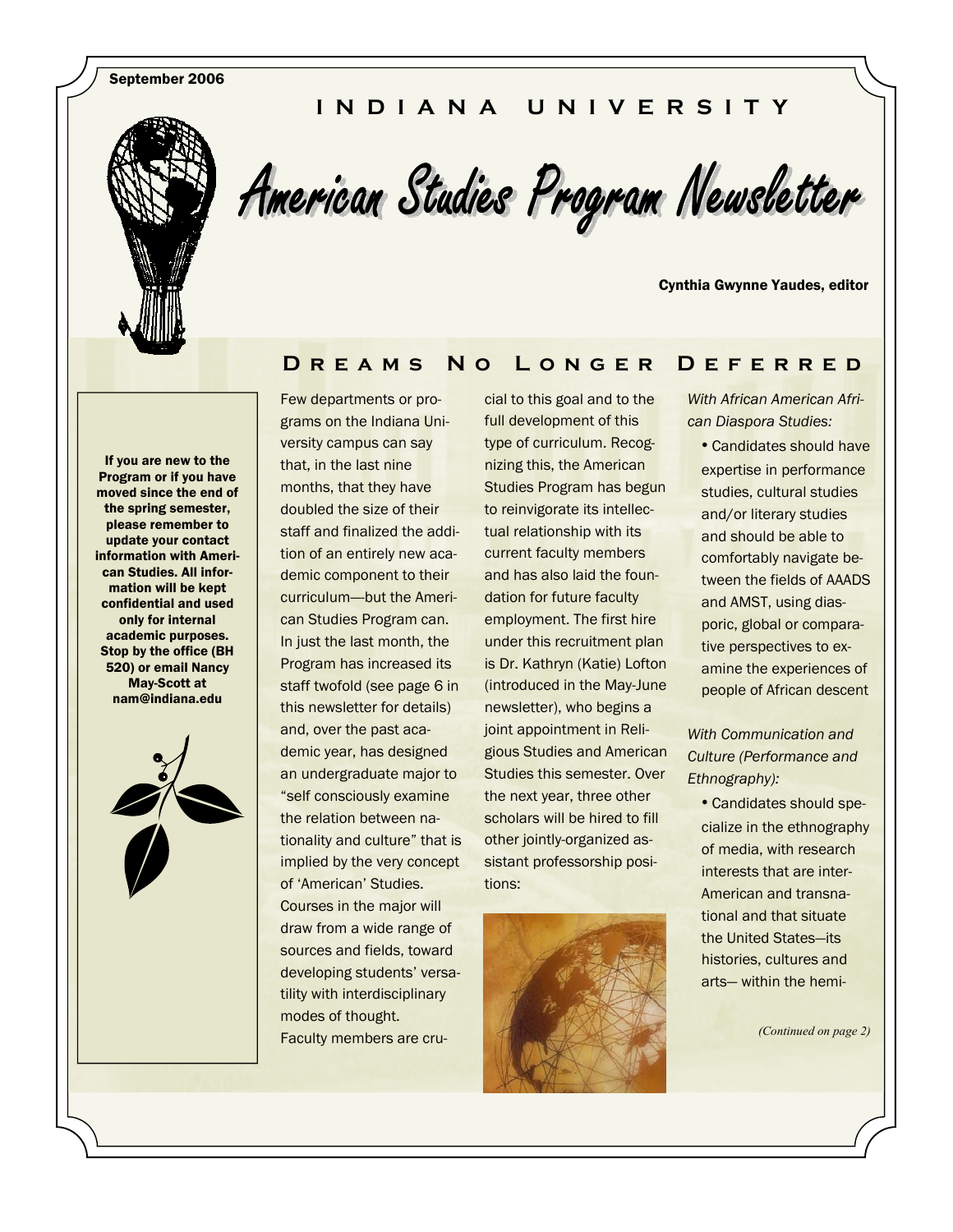September 2006

#### **INDIANA UNIVERSITY**



American Studies Program Newsletter

Cynthia Gwynne Yaudes, editor

#### **Dreams No Longer Deferred**

If you are new to the Program or if you have moved since the end of the spring semester, please remember to update your contact information with American Studies. All information will be kept confidential and used only for internal academic purposes. Stop by the office (BH 520) or email Nancy May-Scott at nam@indiana.edu



Few departments or programs on the Indiana University campus can say that, in the last nine months, that they have doubled the size of their staff and finalized the addition of an entirely new academic component to their curriculum—-but the American Studies Program can. In just the last month, the Program has increased its staff twofold (see page 6 in this newsletter for details) and, over the past academic year, has designed an undergraduate major to "self consciously examine the relation between nationality and culture" that is implied by the very concept of 'American' Studies. Courses in the major will draw from a wide range of sources and fields, toward developing students' versatility with interdisciplinary modes of thought. Faculty members are cru-

cial to this goal and to the full development of this type of curriculum. Recognizing this, the American Studies Program has begun to reinvigorate its intellectual relationship with its current faculty members and has also laid the foundation for future faculty employment. The first hire under this recruitment plan is Dr. Kathryn (Katie) Lofton (introduced in the May-June newsletter), who begins a joint appointment in Religious Studies and American Studies this semester. Over the next year, three other scholars will be hired to fill other jointly-organized assistant professorship positions:



*With African American African Diaspora Studies:* 

• Candidates should have expertise in performance studies, cultural studies and/or literary studies and should be able to comfortably navigate between the fields of AAADS and AMST, using diasporic, global or comparative perspectives to examine the experiences of people of African descent

*With Communication and Culture (Performance and Ethnography):* 

• Candidates should specialize in the ethnography of media, with research interests that are inter-American and transnational and that situate the United States—its histories, cultures and arts— within the hemi-

*(Continued on page 2)*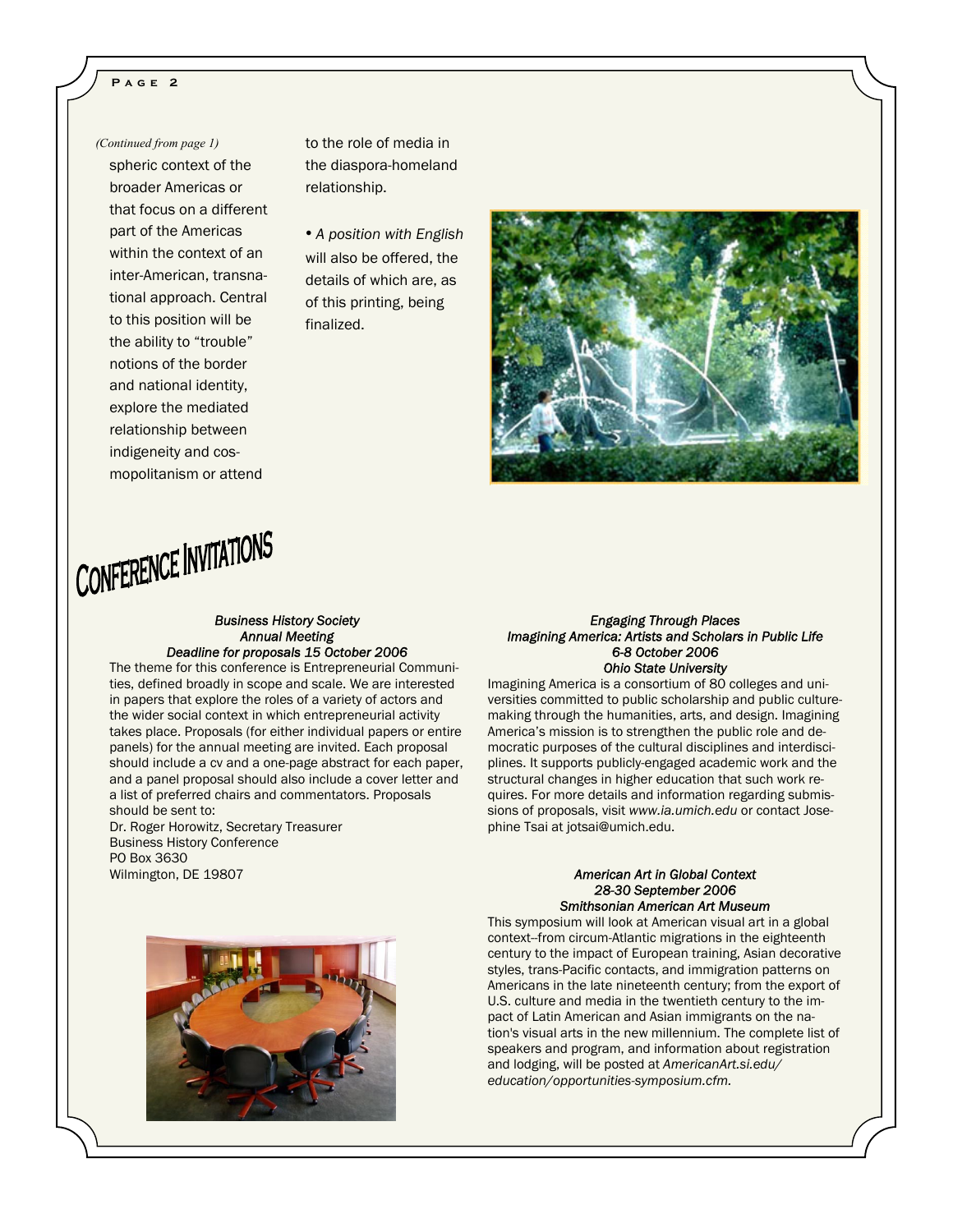#### **Page 2**

spheric context of the broader Americas or that focus on a different part of the Americas within the context of an inter-American, transnational approach. Central to this position will be the ability to "trouble" notions of the border and national identity, explore the mediated relationship between indigeneity and cosmopolitanism or attend

*(Continued from page 1)* to the role of media in the diaspora-homeland relationship.

> • *A position with English* will also be offered, the details of which are, as of this printing, being finalized.



### CONFERENCE INVITATIONS

#### *Business History Society Annual Meeting Deadline for proposals 15 October 2006*

The theme for this conference is Entrepreneurial Communities, defined broadly in scope and scale. We are interested in papers that explore the roles of a variety of actors and the wider social context in which entrepreneurial activity takes place. Proposals (for either individual papers or entire panels) for the annual meeting are invited. Each proposal should include a cv and a one-page abstract for each paper, and a panel proposal should also include a cover letter and a list of preferred chairs and commentators. Proposals should be sent to:

Dr. Roger Horowitz, Secretary Treasurer Business History Conference PO Box 3630 Wilmington, DE 19807

#### *Engaging Through Places Imagining America: Artists and Scholars in Public Life 6-8 October 2006 Ohio State University*

Imagining America is a consortium of 80 colleges and universities committed to public scholarship and public culturemaking through the humanities, arts, and design. Imagining America's mission is to strengthen the public role and democratic purposes of the cultural disciplines and interdisciplines. It supports publicly-engaged academic work and the structural changes in higher education that such work requires. For more details and information regarding submissions of proposals, visit *www.ia.umich.edu* or contact Josephine Tsai at jotsai@umich.edu.

#### *American Art in Global Context 28-30 September 2006 Smithsonian American Art Museum*

This symposium will look at American visual art in a global context--from circum-Atlantic migrations in the eighteenth century to the impact of European training, Asian decorative styles, trans-Pacific contacts, and immigration patterns on Americans in the late nineteenth century; from the export of U.S. culture and media in the twentieth century to the impact of Latin American and Asian immigrants on the nation's visual arts in the new millennium. The complete list of speakers and program, and information about registration and lodging, will be posted at *AmericanArt.si.edu/ education/opportunities-symposium.cfm.* 

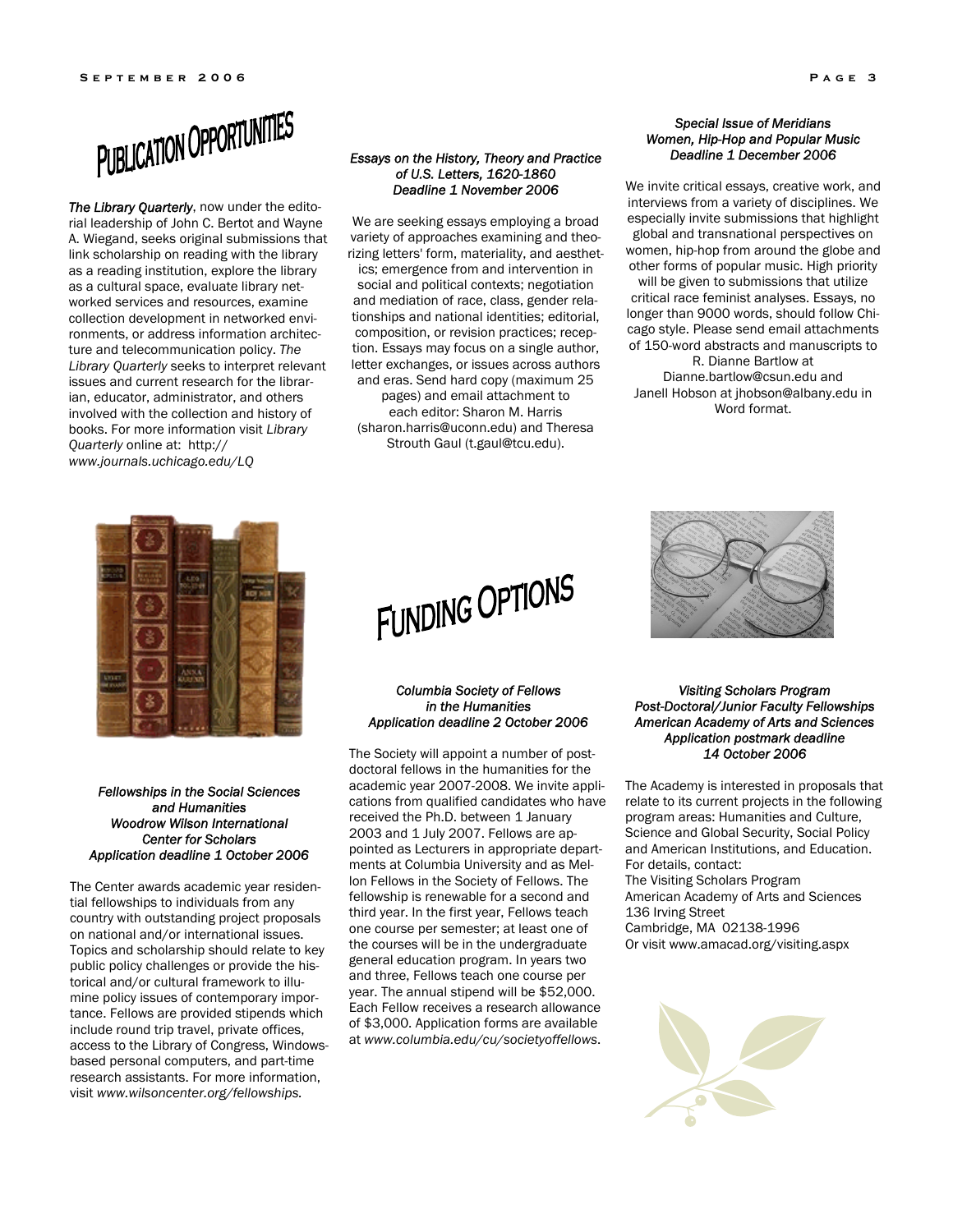

*The Library Quarterly*, now under the editorial leadership of John C. Bertot and Wayne A. Wiegand, seeks original submissions that link scholarship on reading with the library as a reading institution, explore the library as a cultural space, evaluate library networked services and resources, examine collection development in networked environments, or address information architecture and telecommunication policy. *The Library Quarterly* seeks to interpret relevant issues and current research for the librarian, educator, administrator, and others involved with the collection and history of books. For more information visit *Library Quarterly* online at: http:// *www.journals.uchicago.edu/LQ*

#### *Essays on the History, Theory and Practice of U.S. Letters, 1620-1860 Deadline 1 November 2006*

We are seeking essays employing a broad variety of approaches examining and theorizing letters' form, materiality, and aesthetics; emergence from and intervention in social and political contexts; negotiation and mediation of race, class, gender relationships and national identities; editorial, composition, or revision practices; reception. Essays may focus on a single author, letter exchanges, or issues across authors and eras. Send hard copy (maximum 25 pages) and email attachment to each editor: Sharon M. Harris (sharon.harris@uconn.edu) and Theresa Strouth Gaul (t.gaul@tcu.edu).

#### *Special Issue of Meridians Women, Hip-Hop and Popular Music Deadline 1 December 2006*

We invite critical essays, creative work, and interviews from a variety of disciplines. We especially invite submissions that highlight global and transnational perspectives on women, hip-hop from around the globe and other forms of popular music. High priority will be given to submissions that utilize critical race feminist analyses. Essays, no longer than 9000 words, should follow Chicago style. Please send email attachments of 150-word abstracts and manuscripts to R. Dianne Bartlow at

Dianne.bartlow@csun.edu and Janell Hobson at jhobson@albany.edu in Word format.



## FUNDING OPTIONS

#### *Columbia Society of Fellows in the Humanities Application deadline 2 October 2006*

The Society will appoint a number of postdoctoral fellows in the humanities for the academic year 2007-2008. We invite applications from qualified candidates who have received the Ph.D. between 1 January 2003 and 1 July 2007. Fellows are appointed as Lecturers in appropriate departments at Columbia University and as Mellon Fellows in the Society of Fellows. The fellowship is renewable for a second and third year. In the first year, Fellows teach one course per semester; at least one of the courses will be in the undergraduate general education program. In years two and three, Fellows teach one course per year. The annual stipend will be \$52,000. Each Fellow receives a research allowance of \$3,000. Application forms are available at *www.columbia.edu/cu/societyoffellows*.



#### *Visiting Scholars Program Post-Doctoral/Junior Faculty Fellowships American Academy of Arts and Sciences Application postmark deadline 14 October 2006*

The Academy is interested in proposals that relate to its current projects in the following program areas: Humanities and Culture, Science and Global Security, Social Policy and American Institutions, and Education. For details, contact: The Visiting Scholars Program American Academy of Arts and Sciences 136 Irving Street

Cambridge, MA 02138-1996 Or visit www.amacad.org/visiting.aspx



#### *Fellowships in the Social Sciences and Humanities Woodrow Wilson International Center for Scholars Application deadline 1 October 2006*

The Center awards academic year residential fellowships to individuals from any country with outstanding project proposals on national and/or international issues. Topics and scholarship should relate to key public policy challenges or provide the historical and/or cultural framework to illumine policy issues of contemporary importance. Fellows are provided stipends which include round trip travel, private offices, access to the Library of Congress, Windowsbased personal computers, and part-time research assistants. For more information, visit *www.wilsoncenter.org/fellowships.*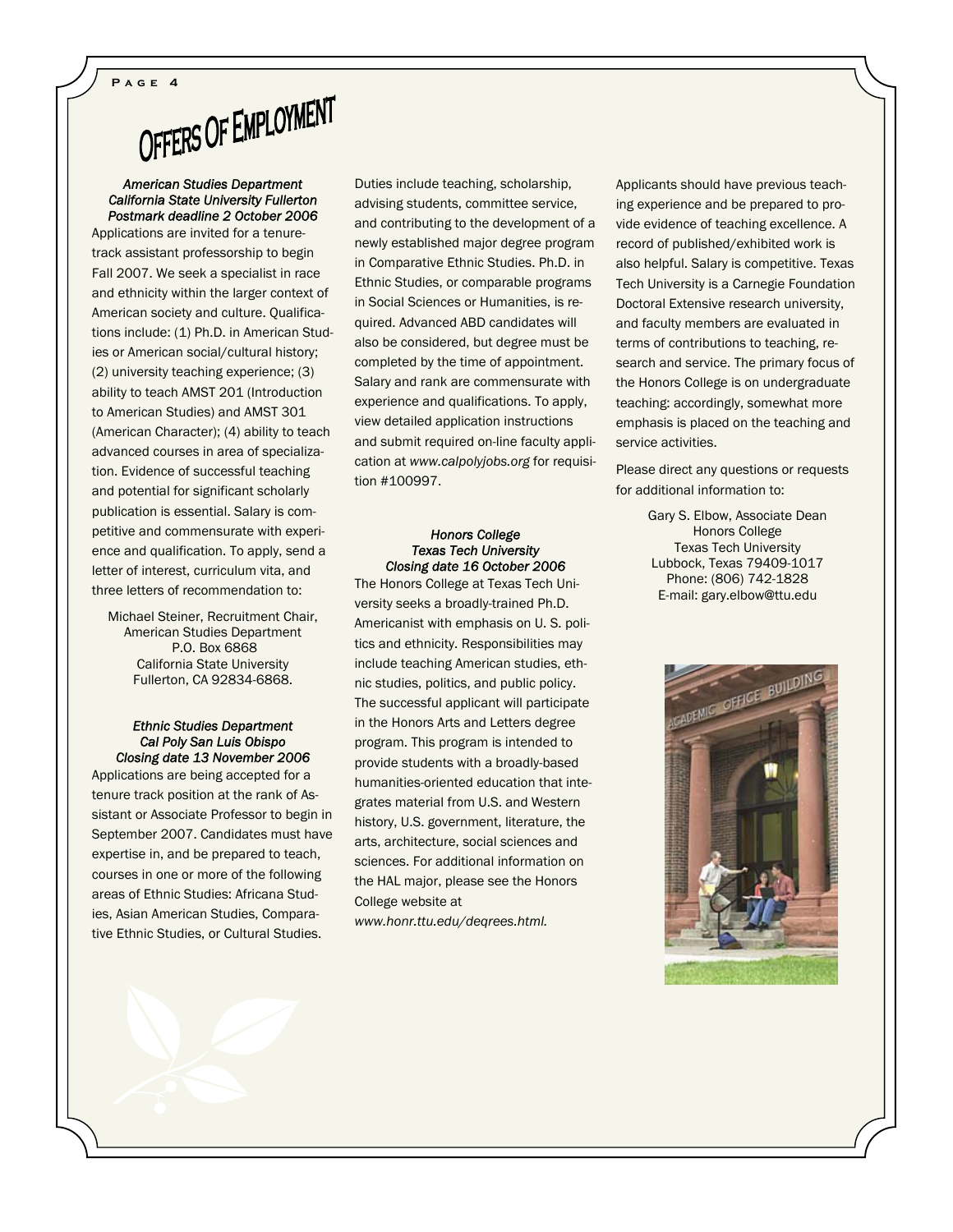# **PAGE 4**<br>OFFERS OF EMPLOYMENT

#### *American Studies Department California State University Fullerton Postmark deadline 2 October 2006*

Applications are invited for a tenuretrack assistant professorship to begin Fall 2007. We seek a specialist in race and ethnicity within the larger context of American society and culture. Qualifications include: (1) Ph.D. in American Studies or American social/cultural history; (2) university teaching experience; (3) ability to teach AMST 201 (Introduction to American Studies) and AMST 301 (American Character); (4) ability to teach advanced courses in area of specialization. Evidence of successful teaching and potential for significant scholarly publication is essential. Salary is competitive and commensurate with experience and qualification. To apply, send a letter of interest, curriculum vita, and three letters of recommendation to:

Michael Steiner, Recruitment Chair, American Studies Department P.O. Box 6868 California State University Fullerton, CA 92834-6868.

#### *Ethnic Studies Department Cal Poly San Luis Obispo Closing date 13 November 2006*

Applications are being accepted for a tenure track position at the rank of Assistant or Associate Professor to begin in September 2007. Candidates must have expertise in, and be prepared to teach, courses in one or more of the following areas of Ethnic Studies: Africana Studies, Asian American Studies, Comparative Ethnic Studies, or Cultural Studies.

Duties include teaching, scholarship, advising students, committee service, and contributing to the development of a newly established major degree program in Comparative Ethnic Studies. Ph.D. in Ethnic Studies, or comparable programs in Social Sciences or Humanities, is required. Advanced ABD candidates will also be considered, but degree must be completed by the time of appointment. Salary and rank are commensurate with experience and qualifications. To apply, view detailed application instructions and submit required on-line faculty application at *www.calpolyjobs.org* for requisition #100997.

#### *Honors College Texas Tech University Closing date 16 October 2006*

The Honors College at Texas Tech University seeks a broadly-trained Ph.D. Americanist with emphasis on U. S. politics and ethnicity. Responsibilities may include teaching American studies, ethnic studies, politics, and public policy. The successful applicant will participate in the Honors Arts and Letters degree program. This program is intended to provide students with a broadly-based humanities-oriented education that integrates material from U.S. and Western history, U.S. government, literature, the arts, architecture, social sciences and sciences. For additional information on the HAL major, please see the Honors College website at

*www.honr.ttu.edu/deqrees.html.*

Applicants should have previous teaching experience and be prepared to provide evidence of teaching excellence. A record of published/exhibited work is also helpful. Salary is competitive. Texas Tech University is a Carnegie Foundation Doctoral Extensive research university, and faculty members are evaluated in terms of contributions to teaching, research and service. The primary focus of the Honors College is on undergraduate teaching: accordingly, somewhat more emphasis is placed on the teaching and service activities.

Please direct any questions or requests for additional information to:

> Gary S. Elbow, Associate Dean Honors College Texas Tech University Lubbock, Texas 79409-1017 Phone: (806) 742-1828 E-mail: gary.elbow@ttu.edu

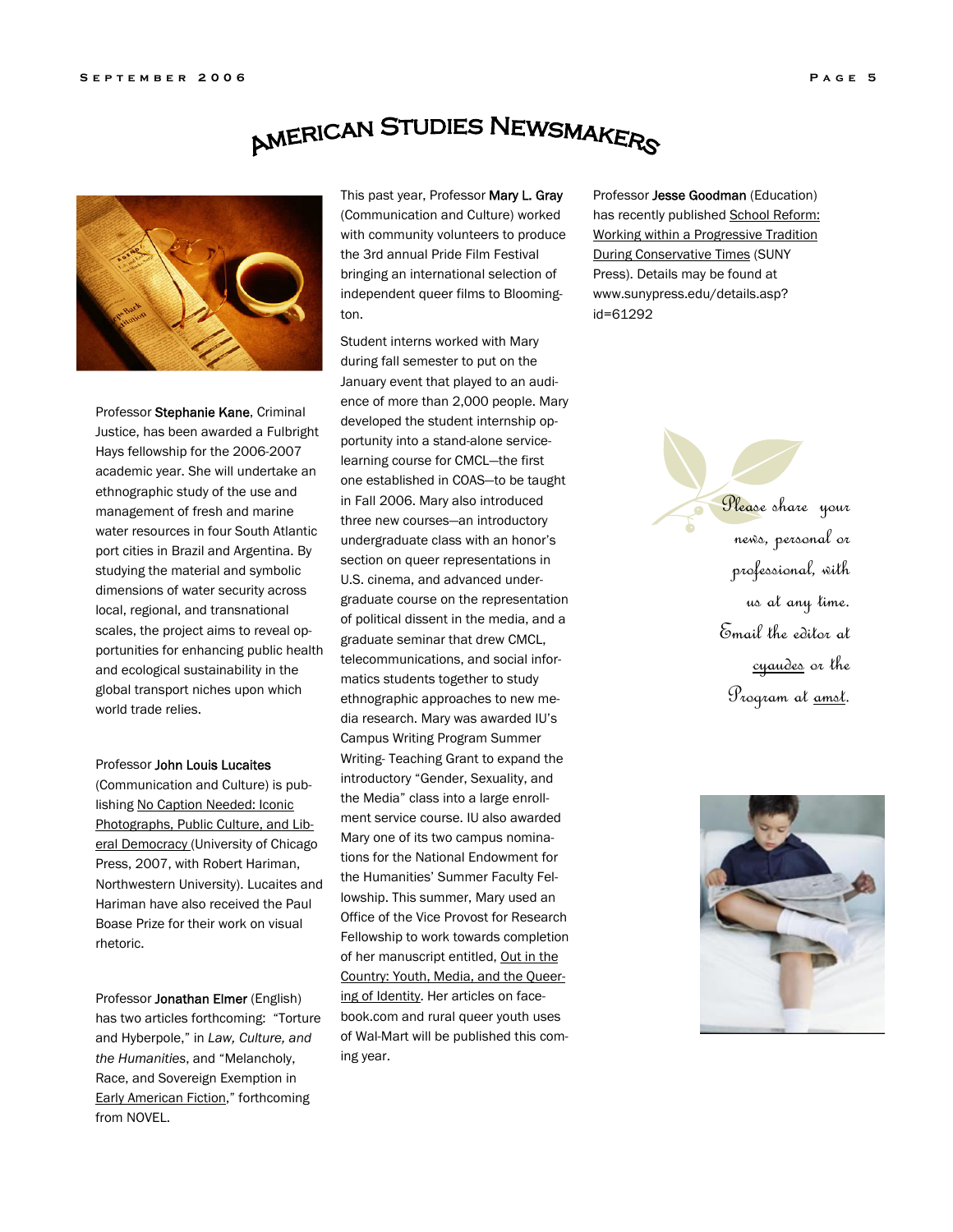### **AMERICAN STUDIES NEWSMAKERS**



Professor Stephanie Kane, Criminal Justice, has been awarded a Fulbright Hays fellowship for the 2006-2007 academic year. She will undertake an ethnographic study of the use and management of fresh and marine water resources in four South Atlantic port cities in Brazil and Argentina. By studying the material and symbolic dimensions of water security across local, regional, and transnational scales, the project aims to reveal opportunities for enhancing public health and ecological sustainability in the global transport niches upon which world trade relies.

#### Professor John Louis Lucaites

(Communication and Culture) is publishing No Caption Needed: Iconic Photographs, Public Culture, and Liberal Democracy (University of Chicago Press, 2007, with Robert Hariman, Northwestern University). Lucaites and Hariman have also received the Paul Boase Prize for their work on visual rhetoric.

Professor Jonathan Elmer (English) has two articles forthcoming: "Torture and Hyberpole," in *Law, Culture, and the Humanities*, and "Melancholy, Race, and Sovereign Exemption in Early American Fiction," forthcoming from NOVEL.

This past year, Professor Mary L. Gray (Communication and Culture) worked with community volunteers to produce the 3rd annual Pride Film Festival bringing an international selection of independent queer films to Bloomington.

Student interns worked with Mary during fall semester to put on the January event that played to an audience of more than 2,000 people. Mary developed the student internship opportunity into a stand-alone servicelearning course for CMCL—the first one established in COAS—to be taught in Fall 2006. Mary also introduced three new courses—an introductory undergraduate class with an honor's section on queer representations in U.S. cinema, and advanced undergraduate course on the representation of political dissent in the media, and a graduate seminar that drew CMCL, telecommunications, and social informatics students together to study ethnographic approaches to new media research. Mary was awarded IU's Campus Writing Program Summer Writing- Teaching Grant to expand the introductory "Gender, Sexuality, and the Media" class into a large enrollment service course. IU also awarded Mary one of its two campus nominations for the National Endowment for the Humanities' Summer Faculty Fellowship. This summer, Mary used an Office of the Vice Provost for Research Fellowship to work towards completion of her manuscript entitled, Out in the Country: Youth, Media, and the Queering of Identity. Her articles on facebook.com and rural queer youth uses of Wal-Mart will be published this coming year.

Professor Jesse Goodman (Education) has recently published School Reform: Working within a Progressive Tradition During Conservative Times (SUNY Press). Details may be found at www.sunypress.edu/details.asp? id=61292

> Please share your news, personal or professional, with us at any time. Email the editor at cyaudes or the Program at amst.